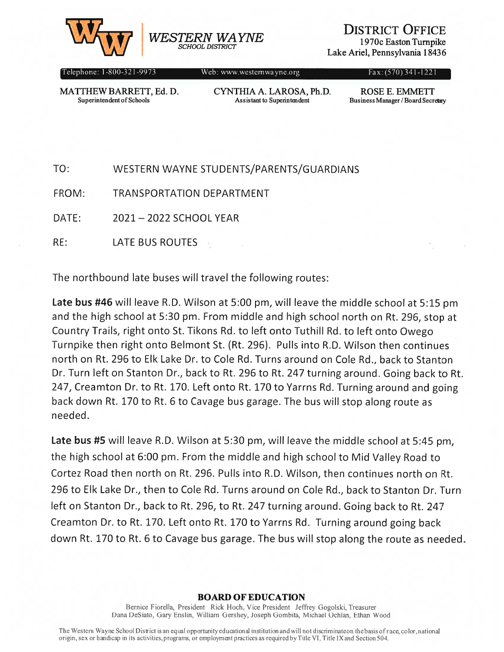

Lake Ariel, Pennsylvania 18436

 $T = \text{F}(\text{F}) = \text{F}(\text{F}) = \text{F}(\text{F}) = \text{F}(\text{F}) = \text{F}(\text{F}) = \text{F}(\text{F}) = \text{F}(\text{F}) = \text{F}(\text{F}) = \text{F}(\text{F}) = \text{F}(\text{F}) = \text{F}(\text{F}) = \text{F}(\text{F}) = \text{F}(\text{F}) = \text{F}(\text{F}) = \text{F}(\text{F}) = \text{F}(\text{F}) = \text{F}(\text{F}) = \text{F}(\text{F}) = \text{F}(\text{F}) = \text{F}(\text{F$ 

MATTHEW BARRETT, Ed. D. CYNTHIA A. LAROSA, Ph.D. ROSE E. EMMETT

Superintendent of Schools **Assistant to Superintendent** Business Manager / Board Secretary

TO: WESTERN WAYNE STUDENTS/PARENTS/GUARDIANS

FROM: TRANSPORTATION DEPARTMENT

DATE: 2021 — 2022 SCHOOL YEAR

RE: LATE BUS ROUTES

The northbound late buses will travel the following routes:

Late bus #46 will leave R.D. Wilson at 5:00 pm, will leave the middle school at 5:15 pm and the high school at 5:30 pm. From middle and high school north on Rt. 296, stop at Country Trails, right onto St. Tikons Rd. to left onto Tuthill Rd. to left onto Owego Turnpike then right onto Belmont St. (Rt. 296). Pulls into R.D. Wilson then continues north on Rt. 296 to Elk Lake Dr. to Cole Rd. Turns around on Cole Rd., back to Stanton Dr. Turn left on Stanton Dr., back to Rt. 296 to Rt. 247 turning around. Going back to Rt. 247, Creamton Dr. to Rt. 170. Left onto Rt. 170 to Yarrns Rd. Turning around and going back down Rt. 170 to Rt. <sup>6</sup> to Cavage bus garage. The bus will stop along route as needed.

Late bus #5 will leave R.D. Wilson at 5:30 pm, will leave the middle school at 5:45 pm, the high school at 6:00 pm. From the middle and high school to Mid Valley Road to Cortez Road then north on Rt. 296. Pulls into R.D. Wilson, then continues north on Rt. 296 to Elk Lake Dr., then to Cole Rd. Turns around on Cole Rd., back to Stanton Dr. Turn left on Stanton Dr., back to Rt. 296, to Rt. 247 turning around. Going back to Rt. 247 Creamton Dr. to Rt. 170. Left onto Rt. 170 to Yarrns Rd. Turning around going back down Rt. 170 to Rt. 6 to Cavage bus garage. The bus will stop along the route as needed.

BOARD OF EDUCATION

Bernice Fioreila, President Rick Hoch, Vice President Jeffrey Gogoiski, Treasurer Dana DeSiato, Gary Enslin, William Gershey, Joseph Gombita, Michael Ochian, Ethan Wood